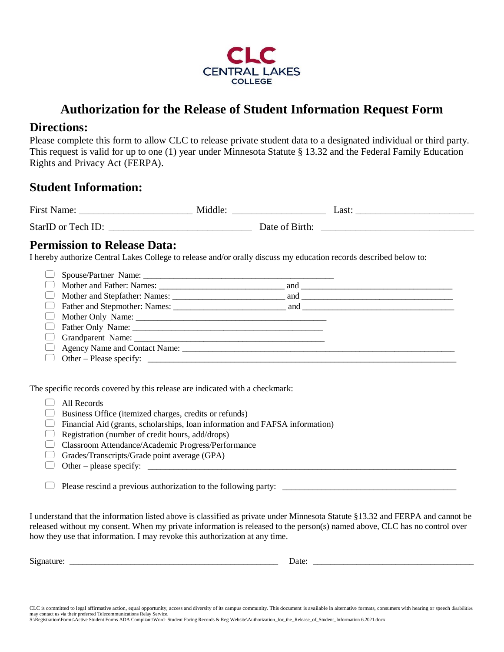

# **Authorization for the Release of Student Information Request Form**

## **Directions:**

Please complete this form to allow CLC to release private student data to a designated individual or third party. This request is valid for up to one (1) year under Minnesota Statute § 13.32 and the Federal Family Education Rights and Privacy Act (FERPA).

# **Student Information:**

| First Name:        | Middle:        | Last |
|--------------------|----------------|------|
| StarID or Tech ID: | Date of Birth: |      |

## **Permission to Release Data:**

I hereby authorize Central Lakes College to release and/or orally discuss my education records described below to:

| $\Box$ Father and Stepmother: Names: $\Box$ and $\Box$ |  |
|--------------------------------------------------------|--|
|                                                        |  |
|                                                        |  |
|                                                        |  |
|                                                        |  |
|                                                        |  |

The specific records covered by this release are indicated with a checkmark:

#### All Records

- $\Box$  Business Office (itemized charges, credits or refunds)
- $\Box$  Financial Aid (grants, scholarships, loan information and FAFSA information)
- $\Box$  Registration (number of credit hours, add/drops)
- Classroom Attendance/Academic Progress/Performance
- Grades/Transcripts/Grade point average  $(GPA)$
- Other please specify: \_\_\_\_\_\_\_\_\_\_\_\_\_\_\_\_\_\_\_\_\_\_\_\_\_\_\_\_\_\_\_\_\_\_\_\_\_\_\_\_\_\_\_\_\_\_\_\_\_\_\_\_\_\_\_\_\_\_\_\_\_\_\_\_\_\_\_\_\_\_\_

Please rescind a previous authorization to the following party: \_\_\_\_\_\_\_\_\_\_\_\_\_\_\_\_\_\_\_\_\_\_\_\_\_\_\_\_\_\_\_\_\_\_\_\_\_\_\_\_

I understand that the information listed above is classified as private under Minnesota Statute §13.32 and FERPA and cannot be released without my consent. When my private information is released to the person(s) named above, CLC has no control over how they use that information. I may revoke this authorization at any time.

Signature: \_\_\_\_\_\_\_\_\_\_\_\_\_\_\_\_\_\_\_\_\_\_\_\_\_\_\_\_\_\_\_\_\_\_\_\_\_\_\_\_\_\_\_\_\_\_\_\_ Date: \_\_\_\_\_\_\_\_\_\_\_\_\_\_\_\_\_\_\_\_\_\_\_\_\_\_\_\_\_\_\_\_\_\_\_\_\_

CLC is committed to legal affirmative action, equal opportunity, access and diversity of its campus community. This document is available in alternative formats, consumers with hearing or speech disabilities may contact us via their preferred Telecommunications Relay Service. S:\Registration\Forms\Active Student Forms ADA Compliant\Word- Student Facing Records & Reg Website\Authorization\_for\_the\_Release\_of\_Student\_Information 6.2021.docx